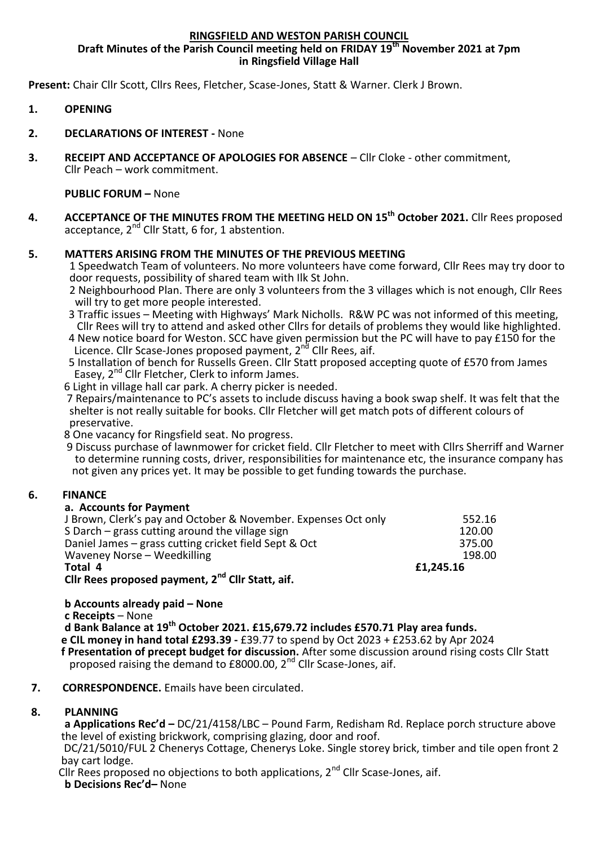## **RINGSFIELD AND WESTON PARISH COUNCIL**

**Draft Minutes of the Parish Council meeting held on FRIDAY 19 th November 2021 at 7pm in Ringsfield Village Hall**

**Present:** Chair Cllr Scott, Cllrs Rees, Fletcher, Scase-Jones, Statt & Warner. Clerk J Brown.

- **1. OPENING**
- **2. DECLARATIONS OF INTEREST -** None
- **3. RECEIPT AND ACCEPTANCE OF APOLOGIES FOR ABSENCE** Cllr Cloke other commitment, Cllr Peach – work commitment.

### **PUBLIC FORUM –** None

**4. ACCEPTANCE OF THE MINUTES FROM THE MEETING HELD ON 15 th October 2021.** Cllr Rees proposed acceptance,  $2^{nd}$  Cllr Statt, 6 for, 1 abstention.

# **5. MATTERS ARISING FROM THE MINUTES OF THE PREVIOUS MEETING**

1 Speedwatch Team of volunteers. No more volunteers have come forward, Cllr Rees may try door to door requests, possibility of shared team with Ilk St John.

- 2 Neighbourhood Plan. There are only 3 volunteers from the 3 villages which is not enough, Cllr Rees will try to get more people interested.
- 3 Traffic issues Meeting with Highways' Mark Nicholls. R&W PC was not informed of this meeting, Cllr Rees will try to attend and asked other Cllrs for details of problems they would like highlighted.
- 4 New notice board for Weston. SCC have given permission but the PC will have to pay £150 for the Licence. Cllr Scase-Jones proposed payment, 2<sup>nd</sup> Cllr Rees, aif.
- 5 Installation of bench for Russells Green. Cllr Statt proposed accepting quote of £570 from James Easey, 2<sup>nd</sup> Cllr Fletcher, Clerk to inform James.

6 Light in village hall car park. A cherry picker is needed.

 7 Repairs/maintenance to PC's assets to include discuss having a book swap shelf. It was felt that the shelter is not really suitable for books. Cllr Fletcher will get match pots of different colours of preservative.

8 One vacancy for Ringsfield seat. No progress.

 9 Discuss purchase of lawnmower for cricket field. Cllr Fletcher to meet with Cllrs Sherriff and Warner to determine running costs, driver, responsibilities for maintenance etc, the insurance company has not given any prices yet. It may be possible to get funding towards the purchase.

## **6. FINANCE**

## **a. Accounts for Payment**

| S Darch – grass cutting around the village sign<br>Daniel James – grass cutting cricket field Sept & Oct<br>Waveney Norse - Weedkilling<br>Total 4<br>Cllr Rees proposed payment, 2 <sup>nd</sup> Cllr Statt, aif. |           |
|--------------------------------------------------------------------------------------------------------------------------------------------------------------------------------------------------------------------|-----------|
|                                                                                                                                                                                                                    | £1,245.16 |
|                                                                                                                                                                                                                    | 198.00    |
|                                                                                                                                                                                                                    | 375.00    |
|                                                                                                                                                                                                                    | 120.00    |
| J Brown, Clerk's pay and October & November. Expenses Oct only                                                                                                                                                     | 552.16    |

**b Accounts already paid – None c Receipts** – None **d Bank Balance at 19th October 2021. £15,679.72 includes £570.71 Play area funds. e CIL money in hand total £293.39 -** £39.77 to spend by Oct 2023 + £253.62 by Apr 2024  **f Presentation of precept budget for discussion.** After some discussion around rising costs Cllr Statt proposed raising the demand to £8000.00, 2nd Cllr Scase-Jones, aif.

#### **7. CORRESPONDENCE.** Emails have been circulated.

## **8. PLANNING**

**a Applications Rec'd –** DC/21/4158/LBC – Pound Farm, Redisham Rd. Replace porch structure above the level of existing brickwork, comprising glazing, door and roof.

 DC/21/5010/FUL 2 Chenerys Cottage, Chenerys Loke. Single storey brick, timber and tile open front 2 bay cart lodge.

Cllr Rees proposed no objections to both applications,  $2^{nd}$  Cllr Scase-Jones, aif. **b Decisions Rec'd–** None